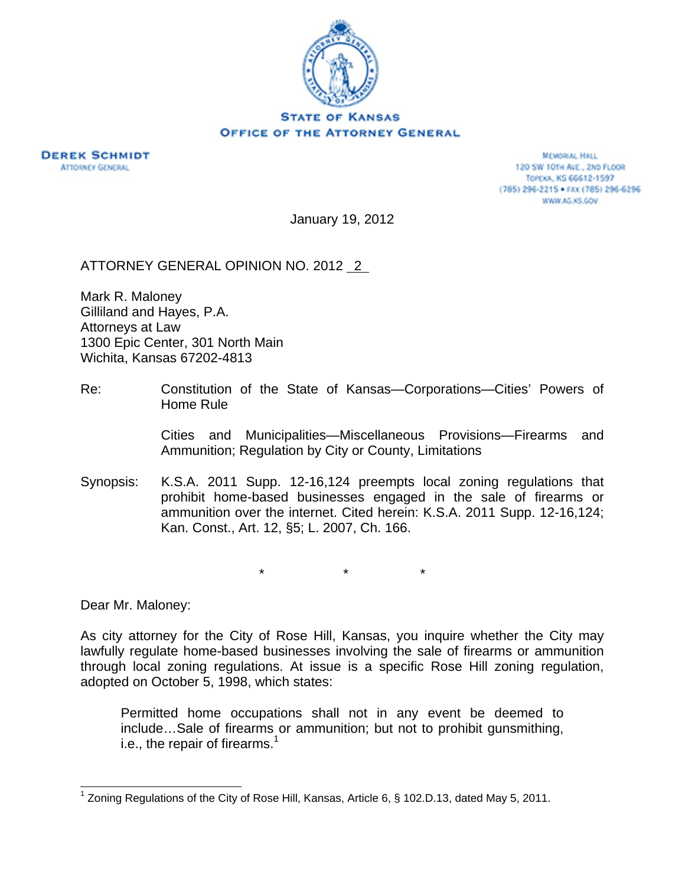

**DEREK SCHMIDT ATTORNEY GENERAL** 

MEMORIAL HALL 120 SW 10TH AVE., 2ND FLOOR TOPEKA, KS 66612-1597 (785) 296-2215 · FAX (785) 296-6296 WWW.AG.KS.GOV

January 19, 2012

ATTORNEY GENERAL OPINION NO. 2012 2

Mark R. Maloney Gilliland and Hayes, P.A. Attorneys at Law 1300 Epic Center, 301 North Main Wichita, Kansas 67202-4813

Re: Constitution of the State of Kansas—Corporations—Cities' Powers of Home Rule

> Cities and Municipalities—Miscellaneous Provisions—Firearms and Ammunition; Regulation by City or County, Limitations

Synopsis: K.S.A. 2011 Supp. 12-16,124 preempts local zoning regulations that prohibit home-based businesses engaged in the sale of firearms or ammunition over the internet. Cited herein: K.S.A. 2011 Supp. 12-16,124; Kan. Const., Art. 12, §5; L. 2007, Ch. 166.

\* \* \*

Dear Mr. Maloney:

As city attorney for the City of Rose Hill, Kansas, you inquire whether the City may lawfully regulate home-based businesses involving the sale of firearms or ammunition through local zoning regulations. At issue is a specific Rose Hill zoning regulation, adopted on October 5, 1998, which states:

Permitted home occupations shall not in any event be deemed to include…Sale of firearms or ammunition; but not to prohibit gunsmithing, i.e., the repair of firearms. $<sup>1</sup>$ </sup>

<sup>&</sup>lt;sup>1</sup> Zoning Regulations of the City of Rose Hill, Kansas, Article 6, § 102.D.13, dated May 5, 2011.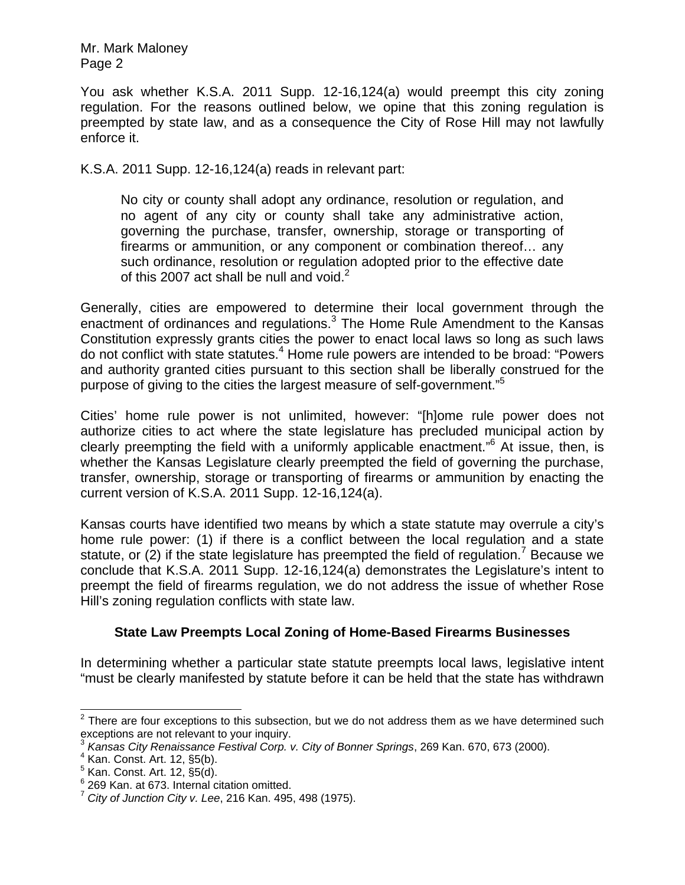You ask whether K.S.A. 2011 Supp. 12-16,124(a) would preempt this city zoning regulation. For the reasons outlined below, we opine that this zoning regulation is preempted by state law, and as a consequence the City of Rose Hill may not lawfully enforce it.

K.S.A. 2011 Supp. 12-16,124(a) reads in relevant part:

No city or county shall adopt any ordinance, resolution or regulation, and no agent of any city or county shall take any administrative action, governing the purchase, transfer, ownership, storage or transporting of firearms or ammunition, or any component or combination thereof… any such ordinance, resolution or regulation adopted prior to the effective date of this 2007 act shall be null and void. $2$ 

Generally, cities are empowered to determine their local government through the enactment of ordinances and regulations.<sup>3</sup> The Home Rule Amendment to the Kansas Constitution expressly grants cities the power to enact local laws so long as such laws do not conflict with state statutes.<sup>4</sup> Home rule powers are intended to be broad: "Powers and authority granted cities pursuant to this section shall be liberally construed for the purpose of giving to the cities the largest measure of self-government."<sup>5</sup>

Cities' home rule power is not unlimited, however: "[h]ome rule power does not authorize cities to act where the state legislature has precluded municipal action by clearly preempting the field with a uniformly applicable enactment."6 At issue, then, is whether the Kansas Legislature clearly preempted the field of governing the purchase, transfer, ownership, storage or transporting of firearms or ammunition by enacting the current version of K.S.A. 2011 Supp. 12-16,124(a).

Kansas courts have identified two means by which a state statute may overrule a city's home rule power: (1) if there is a conflict between the local regulation and a state statute, or (2) if the state legislature has preempted the field of regulation.<sup>7</sup> Because we conclude that K.S.A. 2011 Supp. 12-16,124(a) demonstrates the Legislature's intent to preempt the field of firearms regulation, we do not address the issue of whether Rose Hill's zoning regulation conflicts with state law.

## **State Law Preempts Local Zoning of Home-Based Firearms Businesses**

In determining whether a particular state statute preempts local laws, legislative intent "must be clearly manifested by statute before it can be held that the state has withdrawn

<sup>&</sup>lt;u>2</u><br><sup>2</sup> There are four exceptions to this subsection, but we do not address them as we have determined such exceptions are not relevant to your inquiry.

<sup>3</sup> *Kansas City Renaissance Festival Corp. v. City of Bonner Springs*, 269 Kan. 670, 673 (2000). 4

<sup>&</sup>lt;sup>4</sup> Kan. Const. Art. 12, §5(b).

 $<sup>5</sup>$  Kan. Const. Art. 12,  $\S5(d)$ .</sup>

<sup>6</sup> 269 Kan. at 673. Internal citation omitted.

<sup>7</sup> *City of Junction City v. Lee*, 216 Kan. 495, 498 (1975).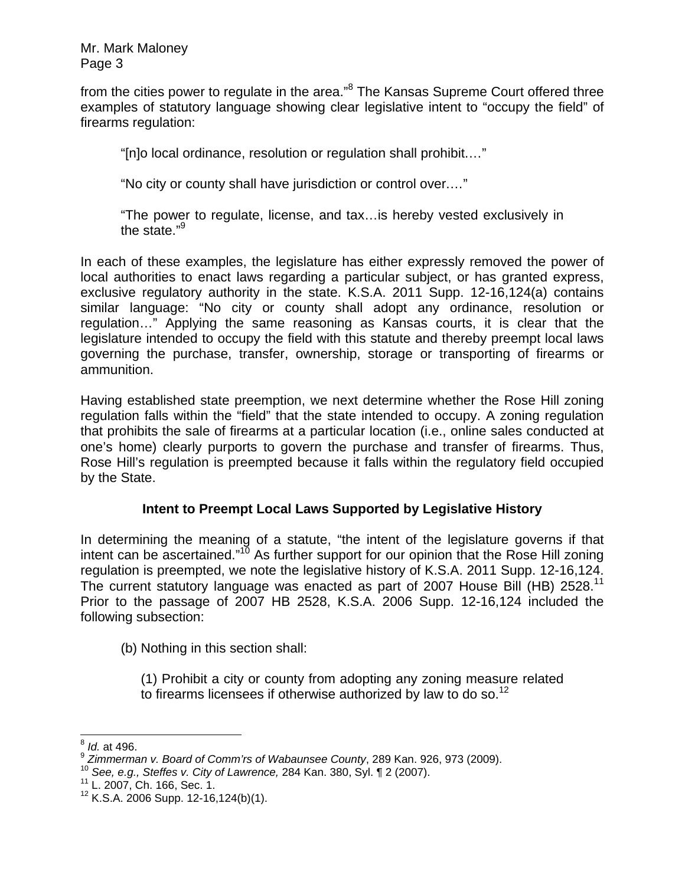from the cities power to regulate in the area."<sup>8</sup> The Kansas Supreme Court offered three examples of statutory language showing clear legislative intent to "occupy the field" of firearms regulation:

"[n]o local ordinance, resolution or regulation shall prohibit.…"

"No city or county shall have jurisdiction or control over.…"

"The power to regulate, license, and tax…is hereby vested exclusively in the state."9

In each of these examples, the legislature has either expressly removed the power of local authorities to enact laws regarding a particular subject, or has granted express, exclusive regulatory authority in the state. K.S.A. 2011 Supp. 12-16,124(a) contains similar language: "No city or county shall adopt any ordinance, resolution or regulation…" Applying the same reasoning as Kansas courts, it is clear that the legislature intended to occupy the field with this statute and thereby preempt local laws governing the purchase, transfer, ownership, storage or transporting of firearms or ammunition.

Having established state preemption, we next determine whether the Rose Hill zoning regulation falls within the "field" that the state intended to occupy. A zoning regulation that prohibits the sale of firearms at a particular location (i.e., online sales conducted at one's home) clearly purports to govern the purchase and transfer of firearms. Thus, Rose Hill's regulation is preempted because it falls within the regulatory field occupied by the State.

## **Intent to Preempt Local Laws Supported by Legislative History**

In determining the meaning of a statute, "the intent of the legislature governs if that intent can be ascertained."<sup>10</sup> As further support for our opinion that the Rose Hill zoning regulation is preempted, we note the legislative history of K.S.A. 2011 Supp. 12-16,124. The current statutory language was enacted as part of 2007 House Bill (HB) 2528.<sup>11</sup> Prior to the passage of 2007 HB 2528, K.S.A. 2006 Supp. 12-16,124 included the following subsection:

(b) Nothing in this section shall:

(1) Prohibit a city or county from adopting any zoning measure related to firearms licensees if otherwise authorized by law to do so.<sup>12</sup>

 $\overline{\phantom{a}}$ <sup>8</sup> *Id.* at 496.

<sup>&</sup>lt;sup>9</sup> *Zimmerman v. Board of Comm'rs of Wabaunsee County*, 289 Kan. 926, 973 (2009).<br><sup>10</sup> *See, e.g., Steffes v. City of Lawrence,* 284 Kan. 380, Syl. ¶ 2 (2007).<br><sup>11</sup> L. 2007, Ch. 166, Sec. 1.

 $12$  K.S.A. 2006 Supp. 12-16,124(b)(1).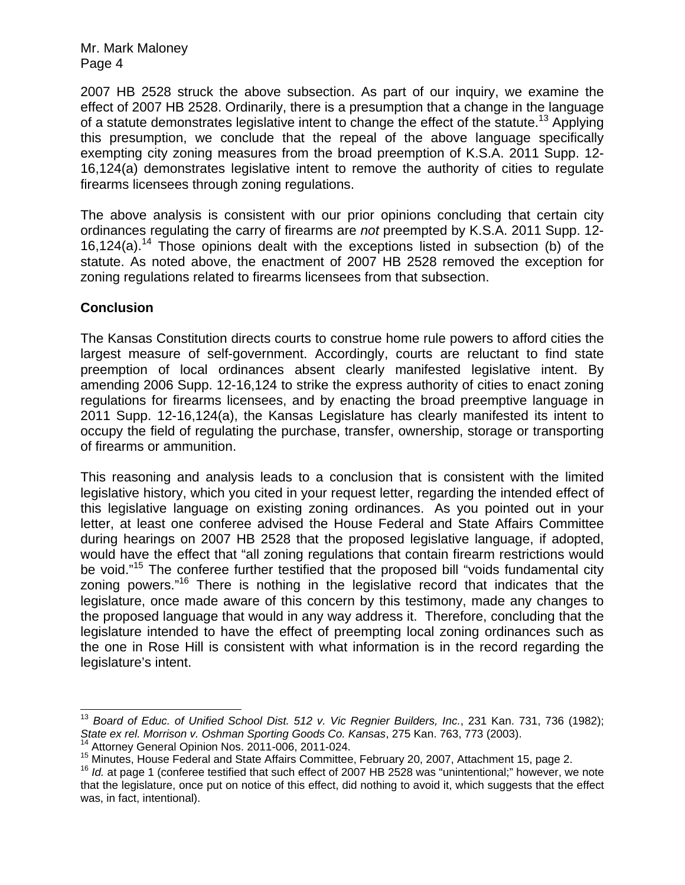2007 HB 2528 struck the above subsection. As part of our inquiry, we examine the effect of 2007 HB 2528. Ordinarily, there is a presumption that a change in the language of a statute demonstrates legislative intent to change the effect of the statute.<sup>13</sup> Applying this presumption, we conclude that the repeal of the above language specifically exempting city zoning measures from the broad preemption of K.S.A. 2011 Supp. 12- 16,124(a) demonstrates legislative intent to remove the authority of cities to regulate firearms licensees through zoning regulations.

The above analysis is consistent with our prior opinions concluding that certain city ordinances regulating the carry of firearms are *not* preempted by K.S.A. 2011 Supp. 12- 16,124(a).<sup>14</sup> Those opinions dealt with the exceptions listed in subsection (b) of the statute. As noted above, the enactment of 2007 HB 2528 removed the exception for zoning regulations related to firearms licensees from that subsection.

## **Conclusion**

 $\overline{\phantom{a}}$ 

The Kansas Constitution directs courts to construe home rule powers to afford cities the largest measure of self-government. Accordingly, courts are reluctant to find state preemption of local ordinances absent clearly manifested legislative intent. By amending 2006 Supp. 12-16,124 to strike the express authority of cities to enact zoning regulations for firearms licensees, and by enacting the broad preemptive language in 2011 Supp. 12-16,124(a), the Kansas Legislature has clearly manifested its intent to occupy the field of regulating the purchase, transfer, ownership, storage or transporting of firearms or ammunition.

This reasoning and analysis leads to a conclusion that is consistent with the limited legislative history, which you cited in your request letter, regarding the intended effect of this legislative language on existing zoning ordinances. As you pointed out in your letter, at least one conferee advised the House Federal and State Affairs Committee during hearings on 2007 HB 2528 that the proposed legislative language, if adopted, would have the effect that "all zoning regulations that contain firearm restrictions would be void."<sup>15</sup> The conferee further testified that the proposed bill "voids fundamental city zoning powers."16 There is nothing in the legislative record that indicates that the legislature, once made aware of this concern by this testimony, made any changes to the proposed language that would in any way address it. Therefore, concluding that the legislature intended to have the effect of preempting local zoning ordinances such as the one in Rose Hill is consistent with what information is in the record regarding the legislature's intent.

<sup>13</sup> *Board of Educ. of Unified School Dist. 512 v. Vic Regnier Builders, Inc.*, 231 Kan. 731, 736 (1982); State ex rel. Morrison v. Oshman Sporting Goods Co. Kansas, 275 Kan. 763, 773 (2003).<br><sup>14</sup> Attorney General Opinion Nos. 2011-006, 2011-024.<br><sup>15</sup> Minutes, House Federal and State Affairs Committee, February 20, 2007, Attac

that the legislature, once put on notice of this effect, did nothing to avoid it, which suggests that the effect was, in fact, intentional).